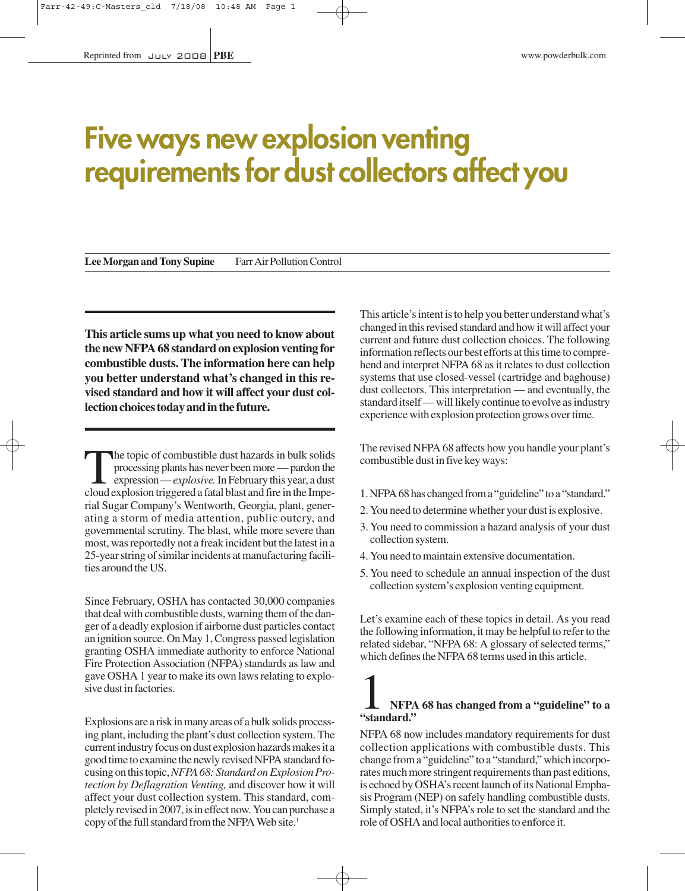## **Five ways new explosion venting requirements for dust collectors affect you**

Lee Morgan and Tony Supine Farr Air Pollution Control

**This article sums up what you need to know about the new NFPA 68 standard on explosion venting for combustible dusts. The information here can help you better understand what's changed in this revised standard and how it will affect your dust collection choices today and in the future.**

The topic of combustible dust hazards in bulk solids processing plants has never been more — pardon the expression — *explosive.*In February this year, a dust cloud explosion triggered a fatal blast and fire in the Imperial Sugar Company's Wentworth, Georgia, plant, generating a storm of media attention, public outcry, and governmental scrutiny. The blast, while more severe than most, was reportedly not a freak incident but the latest in a 25-year string of similar incidents at manufacturing facilities around the US.

Since February, OSHA has contacted 30,000 companies that deal with combustible dusts, warning them of the danger of a deadly explosion if airborne dust particles contact an ignition source. On May 1, Congress passed legislation granting OSHA immediate authority to enforce National Fire Protection Association (NFPA) standards as law and gave OSHA 1 year to make its own laws relating to explosive dust in factories.

Explosions are a risk in many areas of a bulk solids processing plant, including the plant's dust collection system. The current industry focus on dust explosion hazards makes it a good time to examine the newly revised NFPA standard focusing on this topic, *NFPA 68: Standard on Explosion Protection by Deflagration Venting,* and discover how it will affect your dust collection system. This standard, completely revised in 2007, is in effect now. You can purchase a copy of the full standard from the NFPA Web site.<sup>1</sup>

This article's intent is to help you better understand what's changed in this revised standard and how it will affect your current and future dust collection choices. The following information reflects our best efforts at this time to comprehend and interpret NFPA 68 as it relates to dust collection systems that use closed-vessel (cartridge and baghouse) dust collectors. This interpretation — and eventually, the standard itself — will likely continue to evolve as industry experience with explosion protection grows over time.

The revised NFPA 68 affects how you handle your plant's combustible dust in five key ways:

- 1. NFPA 68 has changed from a "guideline" to a "standard."
- 2. You need to determine whether your dust is explosive.
- 3. You need to commission a hazard analysis of your dust collection system.
- 4. You need to maintain extensive documentation.
- 5. You need to schedule an annual inspection of the dust collection system's explosion venting equipment.

Let's examine each of these topics in detail. As you read the following information, it may be helpful to refer to the related sidebar, "NFPA 68: A glossary of selected terms," which defines the NFPA 68 terms used in this article.

### 1 **NFPA 68 has changed from a "guideline" to a "standard."**

NFPA 68 now includes mandatory requirements for dust collection applications with combustible dusts. This change from a "guideline" to a "standard," which incorporates much more stringent requirements than past editions, is echoed by OSHA's recent launch of its National Emphasis Program (NEP) on safely handling combustible dusts. Simply stated, it's NFPA's role to set the standard and the role of OSHA and local authorities to enforce it.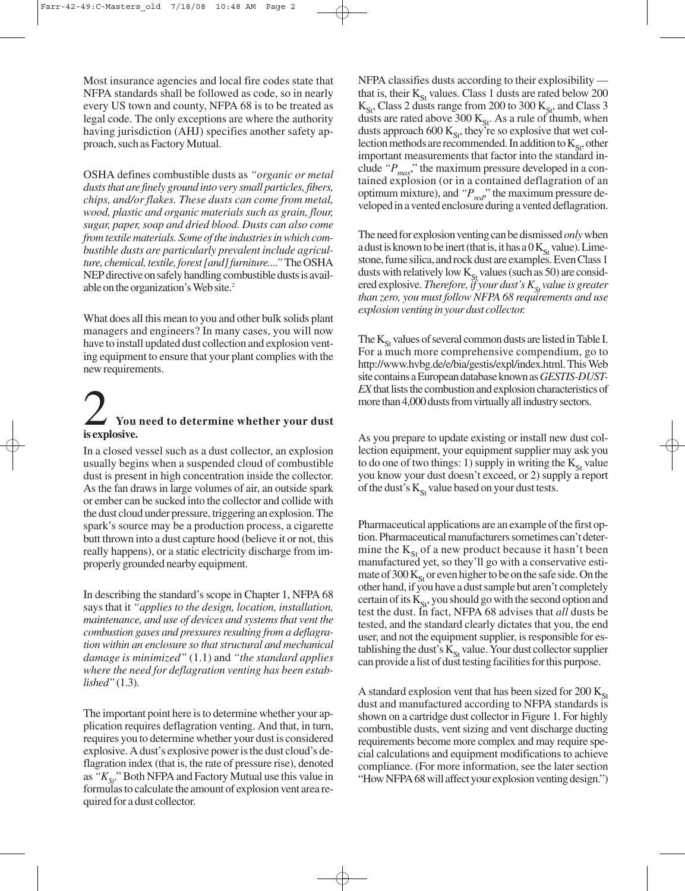Most insurance agencies and local fire codes state that NFPA standards shall be followed as code, so in nearly every US town and county, NFPA 68 is to be treated as legal code. The only exceptions are where the authority having jurisdiction (AHJ) specifies another safety approach, such as Factory Mutual.

OSHA defines combustible dusts as *"organic or metal dusts that are finely ground into very small particles, fibers, chips, and/or flakes. These dusts can come from metal, wood, plastic and organic materials such as grain, flour, sugar, paper, soap and dried blood. Dusts can also come from textile materials. Some of the industries in which combustible dusts are particularly prevalent include agriculture, chemical, textile, forest [and] furniture...."*The OSHA NEP directive on safely handling combustible dusts is available on the organization's Web site.<sup>2</sup>

What does all this mean to you and other bulk solids plant managers and engineers? In many cases, you will now have to install updated dust collection and explosion venting equipment to ensure that your plant complies with the new requirements.

## 2 **You need to determine whether your dust is explosive.**

In a closed vessel such as a dust collector, an explosion usually begins when a suspended cloud of combustible dust is present in high concentration inside the collector. As the fan draws in large volumes of air, an outside spark or ember can be sucked into the collector and collide with the dust cloud under pressure, triggering an explosion. The spark's source may be a production process, a cigarette butt thrown into a dust capture hood (believe it or not, this really happens), or a static electricity discharge from improperly grounded nearby equipment.

In describing the standard's scope in Chapter 1, NFPA 68 says that it *"applies to the design, location, installation, maintenance, and use of devices and systems that vent the combustion gases and pressures resulting from a deflagration within an enclosure so that structural and mechanical damage is minimized"* (1.1) and *"the standard applies where the need for deflagration venting has been established"*(1.3).

The important point here is to determine whether your application requires deflagration venting. And that, in turn, requires you to determine whether your dust is considered explosive. A dust's explosive power is the dust cloud's deflagration index (that is, the rate of pressure rise), denoted as "K<sub>St</sub>." Both NFPA and Factory Mutual use this value in formulas to calculate the amount of explosion vent area required for a dust collector.

NFPA classifies dusts according to their explosibility that is, their  $K_{St}$  values. Class 1 dusts are rated below 200  $K_{St}$ , Class 2 dusts range from 200 to 300  $K_{St}$ , and Class 3 dusts are rated above 300  $K_{St}$ . As a rule of thumb, when dusts approach 600  $K_{S_t}$ , they're so explosive that wet collection methods are recommended. In addition to  $K_{\rm S}$ , other important measurements that factor into the standard include " $P_{\text{max}}$ " the maximum pressure developed in a contained explosion (or in a contained deflagration of an optimum mixture), and  $P_{\text{red}}$ ," the maximum pressure developed in a vented enclosure during a vented deflagration.

The need for explosion venting can be dismissed *only*when a dust is known to be inert (that is, it has a  $0$  K<sub>St</sub> value). Limestone, fume silica, and rock dust are examples. Even Class 1 dusts with relatively low  $K_{St}$  values (such as 50) are considered explosive. *Therefore, if your dust's*  $K_{\rm g}$  *value is greater than zero, you must follow NFPA 68 requirements and use explosion venting in your dust collector.*

The  $K_{\rm St}$  values of several common dusts are listed in Table I. For a much more comprehensive compendium, go to http://www.hvbg.de/e/bia/gestis/expl/index.html. This Web site contains a European database known as *GESTIS-DUST-EX*that lists the combustion and explosion characteristics of more than 4,000 dusts from virtually all industry sectors.

As you prepare to update existing or install new dust collection equipment, your equipment supplier may ask you to do one of two things: 1) supply in writing the  $K_{S_t}$  value you know your dust doesn't exceed, or 2) supply a report of the dust's  $K_{St}$  value based on your dust tests.

Pharmaceutical applications are an example of the first option. Pharmaceutical manufacturers sometimes can't determine the  $K_{\text{St}}$  of a new product because it hasn't been manufactured yet, so they'll go with a conservative estimate of 300  $K_{S_t}$  or even higher to be on the safe side. On the other hand, if you have a dust sample but aren't completely certain of its  $K_{St}$ , you should go with the second option and test the dust. In fact, NFPA 68 advises that *all* dusts be tested, and the standard clearly dictates that you, the end user, and not the equipment supplier, is responsible for establishing the dust's  $K_{St}$  value. Your dust collector supplier can provide a list of dust testing facilities for this purpose.

A standard explosion vent that has been sized for  $200 \text{ K}_{\text{St}}$ dust and manufactured according to NFPA standards is shown on a cartridge dust collector in Figure 1. For highly combustible dusts, vent sizing and vent discharge ducting requirements become more complex and may require special calculations and equipment modifications to achieve compliance. (For more information, see the later section "How NFPA 68 will affect your explosion venting design.")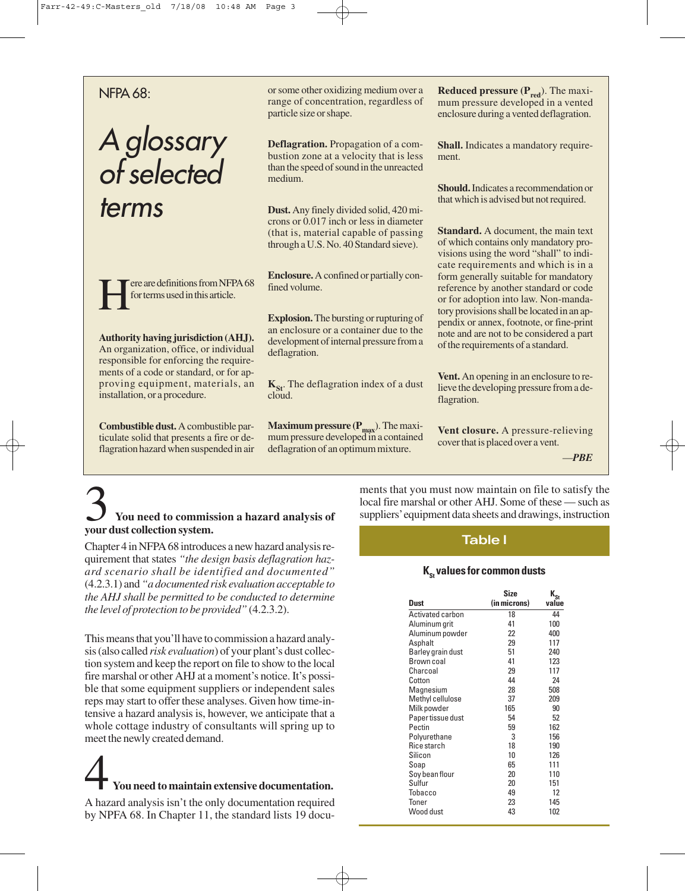#### NFPA 68:

## A glossary of selected terms

Fere are definitions from NFPA 68<br>for terms used in this article. for terms used in this article.

**Authority having jurisdiction (AHJ).** An organization, office, or individual responsible for enforcing the requirements of a code or standard, or for approving equipment, materials, an installation, or a procedure.

**Combustible dust.** A combustible particulate solid that presents a fire or deflagration hazard when suspended in air

or some other oxidizing medium over a range of concentration, regardless of particle size or shape.

**Deflagration.** Propagation of a combustion zone at a velocity that is less than the speed of sound in the unreacted medium.

**Dust.** Any finely divided solid, 420 microns or 0.017 inch or less in diameter (that is, material capable of passing through a U.S. No. 40 Standard sieve).

**Enclosure.** A confined or partially confined volume.

**Explosion.** The bursting or rupturing of an enclosure or a container due to the development of internal pressure from a deflagration.

**K<sub>St</sub>**. The deflagration index of a dust cloud.

**Maximum pressure**  $(P_{\text{max}})$ **.** The maximum pressure developed in a contained deflagration of an optimum mixture.

**Reduced pressure (P<sub>red</sub>). The maxi**mum pressure developed in a vented enclosure during a vented deflagration.

**Shall.** Indicates a mandatory requirement.

**Should.** Indicates a recommendation or that which is advised but not required.

**Standard.** A document, the main text of which contains only mandatory provisions using the word "shall" to indicate requirements and which is in a form generally suitable for mandatory reference by another standard or code or for adoption into law. Non-mandatory provisions shall be located in an appendix or annex, footnote, or fine-print note and are not to be considered a part of the requirements of a standard.

**Vent.** An opening in an enclosure to relieve the developing pressure from a deflagration.

**Vent closure.** A pressure-relieving cover that is placed over a vent.

—*PBE*

## 3 **You need to commission a hazard analysis of your dust collection system.**

Chapter 4 in NFPA 68 introduces a new hazard analysis requirement that states *"the design basis deflagration hazard scenario shall be identified and documented"* (4.2.3.1) and *"a documented risk evaluation acceptable to the AHJ shall be permitted to be conducted to determine the level of protection to be provided"* (4.2.3.2).

This means that you'll have to commission a hazard analysis (also called *risk evaluation*) of your plant's dust collection system and keep the report on file to show to the local fire marshal or other AHJ at a moment's notice. It's possible that some equipment suppliers or independent sales reps may start to offer these analyses. Given how time-intensive a hazard analysis is, however, we anticipate that a whole cottage industry of consultants will spring up to meet the newly created demand.

# 4 **You need to maintain extensive documentation.**

A hazard analysis isn't the only documentation required by NPFA 68. In Chapter 11, the standard lists 19 documents that you must now maintain on file to satisfy the local fire marshal or other AHJ. Some of these — such as suppliers' equipment data sheets and drawings, instruction

#### **Table l**

#### **K<sub>s</sub> values for common dusts**

| Dust              | <b>Size</b><br>(in microns) | $K_{St}$<br>value |
|-------------------|-----------------------------|-------------------|
| Activated carbon  | 18                          | 44                |
| Aluminum grit     | 41                          | 100               |
| Aluminum powder   | 22                          | 400               |
| Asphalt           | 29                          | 117               |
| Barley grain dust | 51                          | 240               |
| Brown coal        | 41                          | 123               |
| Charcoal          | 29                          | 117               |
| Cotton            | 44                          | 24                |
| Magnesium         | 28                          | 508               |
| Methyl cellulose  | 37                          | 209               |
| Milk powder       | 165                         | 90                |
| Paper tissue dust | 54                          | 52                |
| Pectin            | 59                          | 162               |
| Polyurethane      | 3                           | 156               |
| Rice starch       | 18                          | 190               |
| Silicon           | 10                          | 126               |
| Soap              | 65                          | 111               |
| Soy bean flour    | 20                          | 110               |
| Sulfur            | 20                          | 151               |
| Tobacco           | 49                          | 12                |
| Toner             | 23                          | 145               |
| Wood dust         | 43                          | 102               |
|                   |                             |                   |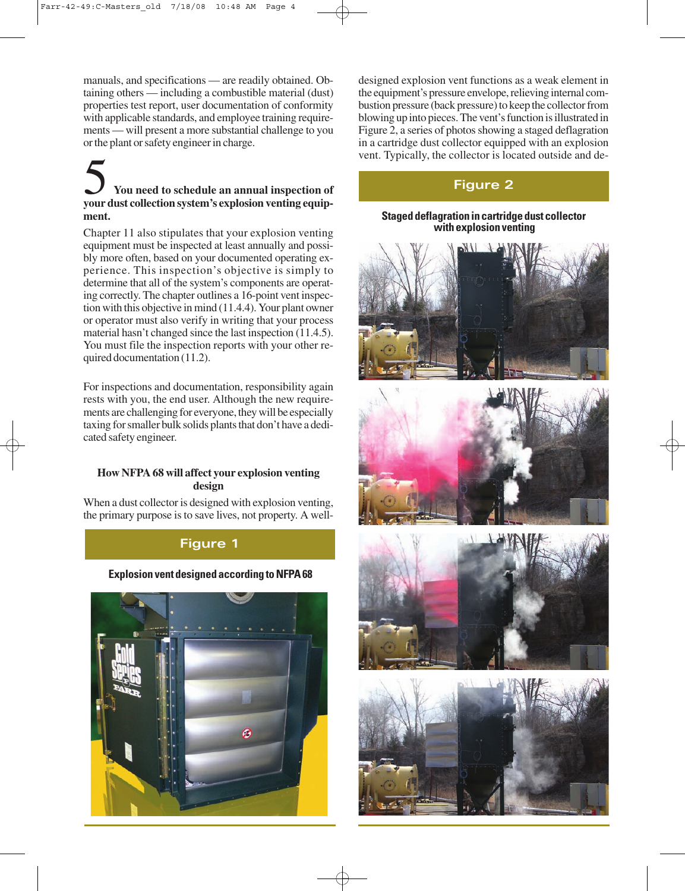manuals, and specifications — are readily obtained. Obtaining others — including a combustible material (dust) properties test report, user documentation of conformity with applicable standards, and employee training requirements — will present a more substantial challenge to you or the plant or safety engineer in charge.

### 5 **You need to schedule an annual inspection of your dust collection system's explosion venting equipment.**

Chapter 11 also stipulates that your explosion venting equipment must be inspected at least annually and possibly more often, based on your documented operating experience. This inspection's objective is simply to determine that all of the system's components are operating correctly. The chapter outlines a 16-point vent inspection with this objective in mind (11.4.4). Your plant owner or operator must also verify in writing that your process material hasn't changed since the last inspection (11.4.5). You must file the inspection reports with your other required documentation (11.2).

For inspections and documentation, responsibility again rests with you, the end user. Although the new requirements are challenging for everyone, they will be especially taxing for smaller bulk solids plants that don't have a dedicated safety engineer.

#### **How NFPA 68 will affect your explosion venting design**

When a dust collector is designed with explosion venting, the primary purpose is to save lives, not property. A well-

#### **Figure 1**

#### **Explosion vent designed according to NFPA 68**



designed explosion vent functions as a weak element in the equipment's pressure envelope, relieving internal combustion pressure (back pressure) to keep the collector from blowing up into pieces. The vent's function is illustrated in Figure 2, a series of photos showing a staged deflagration in a cartridge dust collector equipped with an explosion vent. Typically, the collector is located outside and de-

#### **Figure 2**

#### **Staged deflagration in cartridge dust collector with explosion venting**







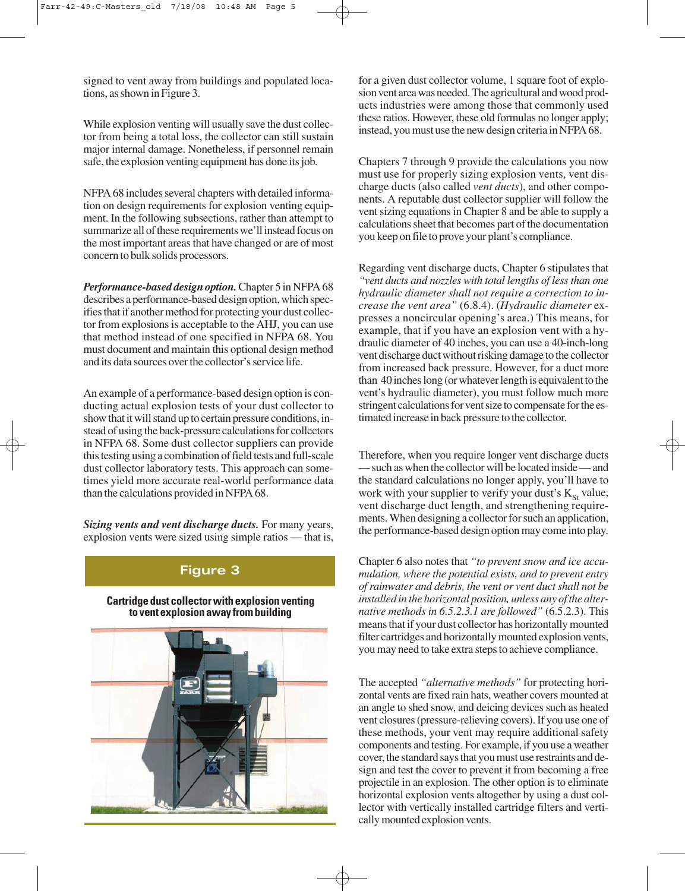signed to vent away from buildings and populated locations, as shown in Figure 3.

While explosion venting will usually save the dust collector from being a total loss, the collector can still sustain major internal damage. Nonetheless, if personnel remain safe, the explosion venting equipment has done its job.

NFPA 68 includes several chapters with detailed information on design requirements for explosion venting equipment. In the following subsections, rather than attempt to summarize all of these requirements we'll instead focus on the most important areas that have changed or are of most concern to bulk solids processors.

*Performance-based design option.* Chapter 5 in NFPA 68 describes a performance-based design option, which specifies that if another method for protecting your dust collector from explosions is acceptable to the AHJ, you can use that method instead of one specified in NFPA 68. You must document and maintain this optional design method and its data sources over the collector's service life.

An example of a performance-based design option is conducting actual explosion tests of your dust collector to show that it will stand up to certain pressure conditions, instead of using the back-pressure calculations for collectors in NFPA 68. Some dust collector suppliers can provide this testing using a combination of field tests and full-scale dust collector laboratory tests. This approach can sometimes yield more accurate real-world performance data than the calculations provided in NFPA 68.

*Sizing vents and vent discharge ducts.* For many years, explosion vents were sized using simple ratios — that is,

#### **Figure 3**

#### **Cartridge dust collector with explosion venting to vent explosion away from building**



for a given dust collector volume, 1 square foot of explosion vent area was needed. The agricultural and wood products industries were among those that commonly used these ratios. However, these old formulas no longer apply; instead, you must use the new design criteria in NFPA 68.

Chapters 7 through 9 provide the calculations you now must use for properly sizing explosion vents, vent discharge ducts (also called *vent ducts*), and other components. A reputable dust collector supplier will follow the vent sizing equations in Chapter 8 and be able to supply a calculations sheet that becomes part of the documentation you keep on file to prove your plant's compliance.

Regarding vent discharge ducts, Chapter 6 stipulates that *"vent ducts and nozzles with total lengths of less than one hydraulic diameter shall not require a correction to increase the vent area"* (6.8.4). (*Hydraulic diameter* expresses a noncircular opening's area.) This means, for example, that if you have an explosion vent with a hydraulic diameter of 40 inches, you can use a 40-inch-long vent discharge duct without risking damage to the collector from increased back pressure. However, for a duct more than 40 inches long (or whatever length is equivalent to the vent's hydraulic diameter), you must follow much more stringent calculations for vent size to compensate for the estimated increase in back pressure to the collector.

Therefore, when you require longer vent discharge ducts — such as when the collector will be located inside — and the standard calculations no longer apply, you'll have to work with your supplier to verify your dust's  $K_{St}$  value, vent discharge duct length, and strengthening requirements. When designing a collector for such an application, the performance-based design option may come into play.

Chapter 6 also notes that *"to prevent snow and ice accumulation, where the potential exists, and to prevent entry of rainwater and debris, the vent or vent duct shall not be installed in the horizontal position, unless any of the alternative methods in 6.5.2.3.1 are followed"* (6.5.2.3). This means that if your dust collector has horizontally mounted filter cartridges and horizontally mounted explosion vents, you may need to take extra steps to achieve compliance.

The accepted *"alternative methods"* for protecting horizontal vents are fixed rain hats, weather covers mounted at an angle to shed snow, and deicing devices such as heated vent closures (pressure-relieving covers). If you use one of these methods, your vent may require additional safety components and testing. For example, if you use a weather cover, the standard says that you must use restraints and design and test the cover to prevent it from becoming a free projectile in an explosion. The other option is to eliminate horizontal explosion vents altogether by using a dust collector with vertically installed cartridge filters and vertically mounted explosion vents.